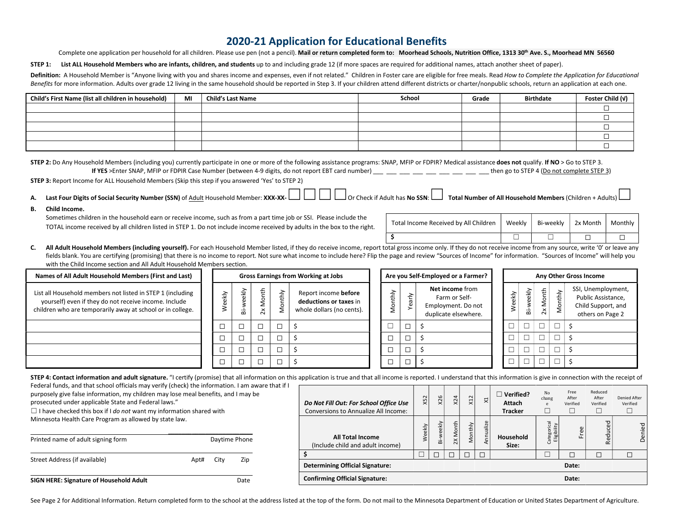## 2020-21 Application for Educational Benefits

Complete one application per household for all children. Please use pen (not a pencil). Mail or return completed form to: Moorhead Schools, Nutrition Office, 1313 30<sup>th</sup> Ave. S., Moorhead MN 56560

STEP 1: List ALL Household Members who are infants, children, and students up to and including grade 12 (if more spaces are required for additional names, attach another sheet of paper).

Definition: A Household Member is "Anyone living with you and shares income and expenses, even if not related." Children in Foster care are eligible for free meals. Read How to Complete the Application for Educational Benefits for more information. Adults over grade 12 living in the same household should be reported in Step 3. If your children attend different districts or charter/nonpublic schools, return an application at each one.

| Child's First Name (list all children in household) | MI | <b>Child's Last Name</b> | School | Grade | <b>Birthdate</b> | Foster Child (v) |
|-----------------------------------------------------|----|--------------------------|--------|-------|------------------|------------------|
|                                                     |    |                          |        |       |                  |                  |
|                                                     |    |                          |        |       |                  |                  |
|                                                     |    |                          |        |       |                  |                  |
|                                                     |    |                          |        |       |                  |                  |
|                                                     |    |                          |        |       |                  |                  |

| STEP 2: Do Any Household Members (including you) currently participate in one or more of the following assistance programs: SNAP, MFIP or FDPIR? Medical assistance does not qualify. If NO > Go to STEP 3. |                                            |
|-------------------------------------------------------------------------------------------------------------------------------------------------------------------------------------------------------------|--------------------------------------------|
| If YES >Enter SNAP, MFIP or FDPIR Case Number (between 4-9 digits, do not report EBT card number)                                                                                                           | then go to STEP 4 (Do not complete STEP 3) |
|                                                                                                                                                                                                             |                                            |

STEP 3: Report Income for ALL Household Members (Skip this step if you answered 'Yes' to STEP 2)

- A. Last Four Digits of Social Security Number (SSN) of Adult Household Member: XXX-XX-☐☐☐☐Or Check if Adult has No SSN:☐ Total Number of All Household Members (Children + Adults)☐
- B. Child Income.

Sometimes children in the household earn or receive income, such as from a part time job or SSI. Please include the TOTAL income received by all children listed in STEP 1. Do not include income received by adults in the box to the right.

| Total Income Received by All Children   Weekly | Bi-weekly 2x Month   Monthly |  |
|------------------------------------------------|------------------------------|--|
|                                                |                              |  |

C. All Adult Household Members (including yourself). For each Household Member listed, if they do receive income, report total gross income only. If they do not receive income from any source, write '0' or leave any fields blank. You are certifying (promising) that there is no income to report. Not sure what income to include here? Flip the page and review "Sources of Income" for information. "Sources of Income" will help you with the Child Income section and All Adult Household Members section.

| Names of All Adult Household Members (First and Last)                                                                                                                             |   | <b>Gross Earnings from Working at Jobs</b> |                         |             | Are you Self-Employed or a Farmer?                                          |             | Any Other Gross Income |                                                                                |  |                                  |    |                                  |           |                                                                                    |  |
|-----------------------------------------------------------------------------------------------------------------------------------------------------------------------------------|---|--------------------------------------------|-------------------------|-------------|-----------------------------------------------------------------------------|-------------|------------------------|--------------------------------------------------------------------------------|--|----------------------------------|----|----------------------------------|-----------|------------------------------------------------------------------------------------|--|
| List all Household members not listed in STEP 1 (including<br>yourself) even if they do not receive income. Include<br>children who are temporarily away at school or in college. | ਣ | ekly<br>ää                                 | Month<br>$\tilde{\sim}$ | ξĦ,<br>2    | Report income before<br>deductions or taxes in<br>whole dollars (no cents). | È<br>士<br>ĕ | ≥<br>ea)               | Net income from<br>Farm or Self-<br>Employment. Do not<br>duplicate elsewhere. |  | Apre<br>2                        | ää | <b>Aonth</b><br>∠<br>$\tilde{z}$ | thly<br>ş | SSI, Unemployment,<br>Public Assistance,<br>Child Support, and<br>others on Page 2 |  |
|                                                                                                                                                                                   |   | $\Box$                                     |                         | $\Box$      |                                                                             |             |                        |                                                                                |  |                                  |    |                                  |           |                                                                                    |  |
|                                                                                                                                                                                   |   | $\Box$                                     |                         | $\Box$<br>◡ |                                                                             |             |                        |                                                                                |  | $\overline{\phantom{0}}$         | П  | $\Box$                           |           |                                                                                    |  |
|                                                                                                                                                                                   |   |                                            |                         |             |                                                                             |             |                        |                                                                                |  |                                  |    |                                  |           |                                                                                    |  |
|                                                                                                                                                                                   |   |                                            |                         |             |                                                                             |             |                        |                                                                                |  | $\overline{\phantom{0}}$<br>استا | ▭  | $\Box$                           |           |                                                                                    |  |

STEP 4: Contact information and adult signature. "I certify (promise) that all information on this application is true and that all income is reported. I understand that this information is give in connection with the rece

Federal funds, and that school officials may verify (check) the information. I am aware that if I purposely give false information, my children may lose meal benefits, and I may be

prosecuted under applicable State and Federal laws."

 $\Box$  I have checked this box if I do not want my information shared with Minnesota Health Care Program as allowed by state law.

| Printed name of adult signing form      |      |      | Daytime Phone |
|-----------------------------------------|------|------|---------------|
| Street Address (if available)           | Apt# | Citv | Zip           |
| SIGN HERE: Signature of Household Adult |      |      | Date          |

| Do Not Fill Out: For School Office Use<br>Conversions to Annualize All Income: | X52    | X26       | x24      | X12     | $\mathbf{z}$ | Verified?<br>Attach<br><b>Tracker</b> | No<br>chang<br>e               | Free<br>After<br>Verified<br>□ | Reduced<br>After<br>Verified | Denied After<br>Verified |
|--------------------------------------------------------------------------------|--------|-----------|----------|---------|--------------|---------------------------------------|--------------------------------|--------------------------------|------------------------------|--------------------------|
| <b>All Total Income</b><br>(Include child and adult income)                    | Weekly | Bi-weekly | 2X Month | Monthly | Annualize    | Household<br>Size:                    | tegorical<br>Eligibility<br>පි | æ<br>ш.                        | Reduced                      | Denied                   |
|                                                                                |        |           |          |         |              |                                       |                                | □                              |                              | П                        |
| <b>Determining Official Signature:</b>                                         |        |           |          |         |              |                                       |                                | Date:                          |                              |                          |
| <b>Confirming Official Signature:</b>                                          |        |           |          |         |              |                                       |                                | Date:                          |                              |                          |

See Page 2 for Additional Information. Return completed form to the school at the address listed at the top of the form. Do not mail to the Minnesota Department of Education or United States Department of Agriculture.